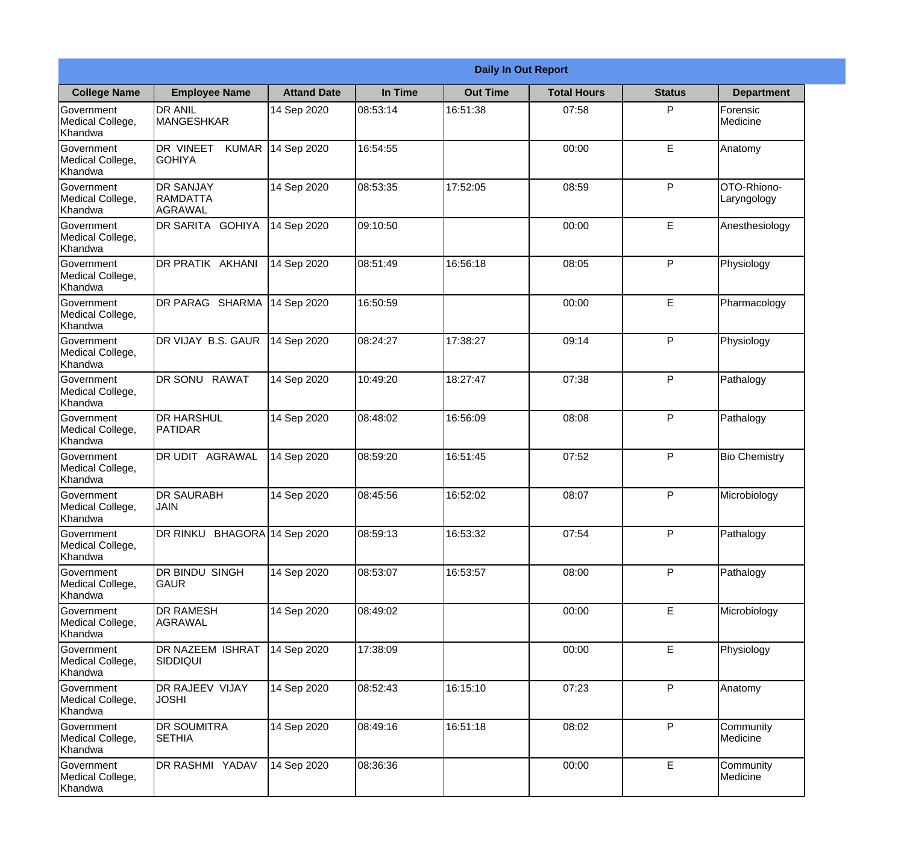|                                                  |                                                |                    |          | <b>Daily In Out Report</b> |                    |               |                            |
|--------------------------------------------------|------------------------------------------------|--------------------|----------|----------------------------|--------------------|---------------|----------------------------|
| <b>College Name</b>                              | <b>Employee Name</b>                           | <b>Attand Date</b> | In Time  | <b>Out Time</b>            | <b>Total Hours</b> | <b>Status</b> | <b>Department</b>          |
| Government<br>Medical College,<br>Khandwa        | <b>DR ANIL</b><br><b>MANGESHKAR</b>            | 14 Sep 2020        | 08:53:14 | 16:51:38                   | 07:58              | P             | Forensic<br>Medicine       |
| Government<br>Medical College,<br>Khandwa        | DR VINEET<br><b>KUMAR</b><br><b>GOHIYA</b>     | 14 Sep 2020        | 16:54:55 |                            | 00:00              | E             | Anatomy                    |
| <b>Government</b><br>Medical College,<br>Khandwa | <b>DR SANJAY</b><br><b>RAMDATTA</b><br>AGRAWAL | 14 Sep 2020        | 08:53:35 | 17:52:05                   | 08:59              | P             | OTO-Rhiono-<br>Laryngology |
| Government<br>Medical College,<br>Khandwa        | <b>DR SARITA GOHIYA</b>                        | 14 Sep 2020        | 09:10:50 |                            | 00:00              | E             | Anesthesiology             |
| Government<br>Medical College,<br>Khandwa        | DR PRATIK AKHANI                               | 14 Sep 2020        | 08:51:49 | 16:56:18                   | 08:05              | P             | Physiology                 |
| Government<br>Medical College,<br>Khandwa        | DR PARAG SHARMA                                | 14 Sep 2020        | 16:50:59 |                            | 00:00              | E             | Pharmacology               |
| <b>Government</b><br>Medical College,<br>Khandwa | DR VIJAY B.S. GAUR                             | 14 Sep 2020        | 08:24:27 | 17:38:27                   | 09:14              | P             | Physiology                 |
| <b>Government</b><br>Medical College,<br>Khandwa | DR SONU RAWAT                                  | 14 Sep 2020        | 10:49:20 | 18:27:47                   | 07:38              | P             | Pathalogy                  |
| Government<br>Medical College,<br>Khandwa        | <b>DR HARSHUL</b><br>PATIDAR                   | 14 Sep 2020        | 08:48:02 | 16:56:09                   | 08:08              | P             | Pathalogy                  |
| Government<br>Medical College,<br>Khandwa        | DR UDIT<br><b>AGRAWAL</b>                      | 14 Sep 2020        | 08:59:20 | 16:51:45                   | 07:52              | P             | <b>Bio Chemistry</b>       |
| Government<br>Medical College,<br>Khandwa        | <b>DR SAURABH</b><br><b>JAIN</b>               | 14 Sep 2020        | 08:45:56 | 16:52:02                   | 08:07              | $\mathsf{P}$  | Microbiology               |
| Government<br>Medical College,<br>Khandwa        | DR RINKU BHAGORA 14 Sep 2020                   |                    | 08:59:13 | 16:53:32                   | 07:54              | P             | Pathalogy                  |
| Government<br>Medical College,<br>Khandwa        | DR BINDU SINGH<br><b>GAUR</b>                  | 14 Sep 2020        | 08:53:07 | 16:53:57                   | 08:00              | P             | Pathalogy                  |
| Government<br>Medical College,<br>Khandwa        | <b>DR RAMESH</b><br><b>AGRAWAL</b>             | 14 Sep 2020        | 08:49:02 |                            | 00:00              | E             | Microbiology               |
| Government<br>Medical College,<br>Khandwa        | <b>DR NAZEEM ISHRAT</b><br>SIDDIQUI            | 14 Sep 2020        | 17:38:09 |                            | 00:00              | E             | Physiology                 |
| Government<br>Medical College,<br>Khandwa        | <b>DR RAJEEV VIJAY</b><br><b>JOSHI</b>         | 14 Sep 2020        | 08:52:43 | 16:15:10                   | 07:23              | P             | Anatomy                    |
| Government<br>Medical College,<br>Khandwa        | <b>DR SOUMITRA</b><br><b>SETHIA</b>            | 14 Sep 2020        | 08:49:16 | 16:51:18                   | 08:02              | P             | Community<br>Medicine      |
| Government<br>Medical College,<br>Khandwa        | DR RASHMI YADAV                                | 14 Sep 2020        | 08:36:36 |                            | 00:00              | E             | Community<br>Medicine      |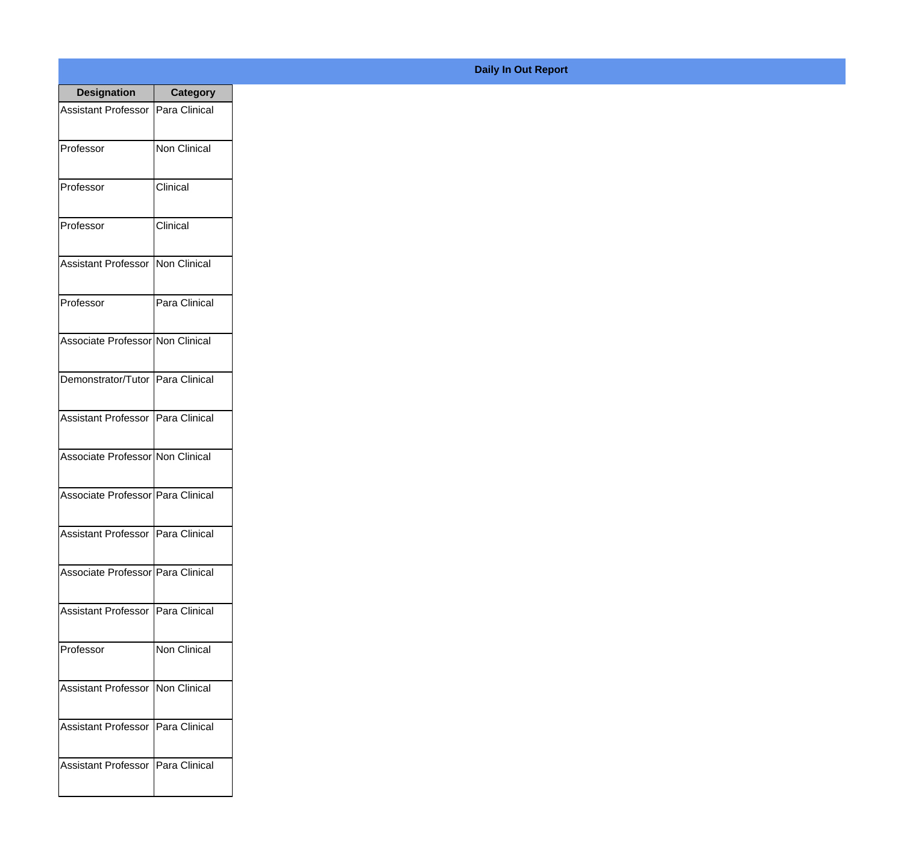| <b>Designation</b>                  | <b>Category</b>     |
|-------------------------------------|---------------------|
| Assistant Professor   Para Clinical |                     |
| Professor                           | <b>Non Clinical</b> |
| Professor                           | Clinical            |
| Professor                           | Clinical            |
| <b>Assistant Professor</b>          | Non Clinical        |
| Professor                           | Para Clinical       |
| Associate Professor Non Clinical    |                     |
| Demonstrator/Tutor   Para Clinical  |                     |
| Assistant Professor   Para Clinical |                     |
| Associate Professor Non Clinical    |                     |
| Associate Professor Para Clinical   |                     |
| Assistant Professor   Para Clinical |                     |
| Associate Professor   Para Clinical |                     |
| Assistant Professor   Para Clinical |                     |
| Professor                           | <b>Non Clinical</b> |
| <b>Assistant Professor</b>          | Non Clinical        |
| <b>Assistant Professor</b>          | Para Clinical       |
| Assistant Professor   Para Clinical |                     |

## **Daily In Out Report**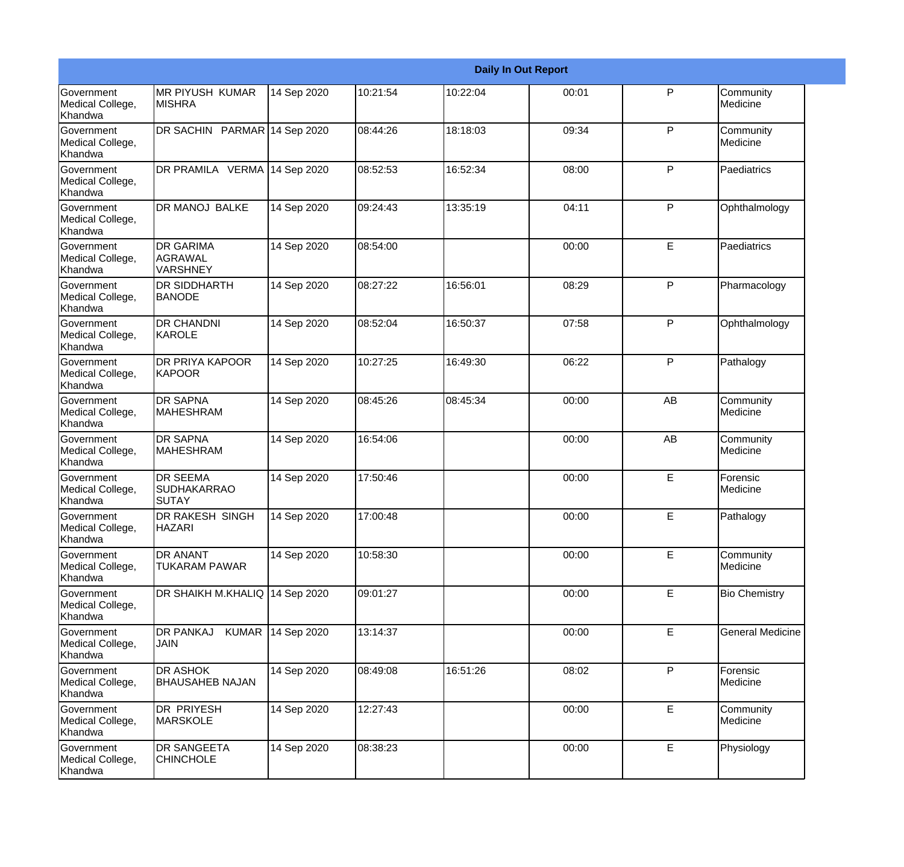|                                                  |                                                       |             |          |          | <b>Daily In Out Report</b> |              |                         |
|--------------------------------------------------|-------------------------------------------------------|-------------|----------|----------|----------------------------|--------------|-------------------------|
| <b>Government</b><br>Medical College,<br>Khandwa | <b>MR PIYUSH KUMAR</b><br><b>MISHRA</b>               | 14 Sep 2020 | 10:21:54 | 10:22:04 | 00:01                      | P            | Community<br>Medicine   |
| Government<br>Medical College,<br>Khandwa        | DR SACHIN PARMAR 14 Sep 2020                          |             | 08:44:26 | 18:18:03 | 09:34                      | $\mathsf{P}$ | Community<br>Medicine   |
| <b>Government</b><br>Medical College,<br>Khandwa | DR PRAMILA VERMA 14 Sep 2020                          |             | 08:52:53 | 16:52:34 | 08:00                      | P            | Paediatrics             |
| <b>Government</b><br>Medical College,<br>Khandwa | DR MANOJ BALKE                                        | 14 Sep 2020 | 09:24:43 | 13:35:19 | 04:11                      | $\mathsf{P}$ | Ophthalmology           |
| Government<br>Medical College,<br>Khandwa        | <b>DR GARIMA</b><br><b>AGRAWAL</b><br><b>VARSHNEY</b> | 14 Sep 2020 | 08:54:00 |          | 00:00                      | E            | Paediatrics             |
| Government<br>Medical College,<br>Khandwa        | DR SIDDHARTH<br><b>BANODE</b>                         | 14 Sep 2020 | 08:27:22 | 16:56:01 | 08:29                      | $\mathsf{P}$ | Pharmacology            |
| Government<br>Medical College,<br>Khandwa        | <b>DR CHANDNI</b><br>KAROLE                           | 14 Sep 2020 | 08:52:04 | 16:50:37 | 07:58                      | $\mathsf{P}$ | Ophthalmology           |
| Government<br>Medical College,<br>Khandwa        | DR PRIYA KAPOOR<br>KAPOOR                             | 14 Sep 2020 | 10:27:25 | 16:49:30 | 06:22                      | $\mathsf{P}$ | Pathalogy               |
| Government<br>Medical College,<br>Khandwa        | <b>DR SAPNA</b><br><b>MAHESHRAM</b>                   | 14 Sep 2020 | 08:45:26 | 08:45:34 | 00:00                      | AB           | Community<br>Medicine   |
| <b>Government</b><br>Medical College,<br>Khandwa | <b>DR SAPNA</b><br><b>I</b> MAHESHRAM                 | 14 Sep 2020 | 16:54:06 |          | 00:00                      | AB           | Community<br>Medicine   |
| Government<br>Medical College,<br>Khandwa        | <b>DR SEEMA</b><br><b>SUDHAKARRAO</b><br><b>SUTAY</b> | 14 Sep 2020 | 17:50:46 |          | 00:00                      | E            | Forensic<br>Medicine    |
| Government<br>Medical College,<br>Khandwa        | DR RAKESH SINGH<br><b>HAZARI</b>                      | 14 Sep 2020 | 17:00:48 |          | 00:00                      | E            | Pathalogy               |
| Government<br>Medical College,<br>Khandwa        | DR ANANT<br><b>TUKARAM PAWAR</b>                      | 14 Sep 2020 | 10:58:30 |          | 00:00                      | E            | Community<br>Medicine   |
| Government<br>Medical College,<br>Khandwa        | DR SHAIKH M.KHALIQ                                    | 14 Sep 2020 | 09:01:27 |          | 00:00                      | E            | <b>Bio Chemistry</b>    |
| Government<br>Medical College,<br>Khandwa        | <b>KUMAR</b><br><b>DR PANKAJ</b><br><b>JAIN</b>       | 14 Sep 2020 | 13:14:37 |          | 00:00                      | E            | <b>General Medicine</b> |
| Government<br>Medical College,<br>Khandwa        | DR ASHOK<br><b>BHAUSAHEB NAJAN</b>                    | 14 Sep 2020 | 08:49:08 | 16:51:26 | 08:02                      | $\mathsf{P}$ | Forensic<br>Medicine    |
| Government<br>Medical College,<br>Khandwa        | DR PRIYESH<br><b>MARSKOLE</b>                         | 14 Sep 2020 | 12:27:43 |          | 00:00                      | E            | Community<br>Medicine   |
| Government<br>Medical College,<br>Khandwa        | DR SANGEETA<br><b>CHINCHOLE</b>                       | 14 Sep 2020 | 08:38:23 |          | 00:00                      | E            | Physiology              |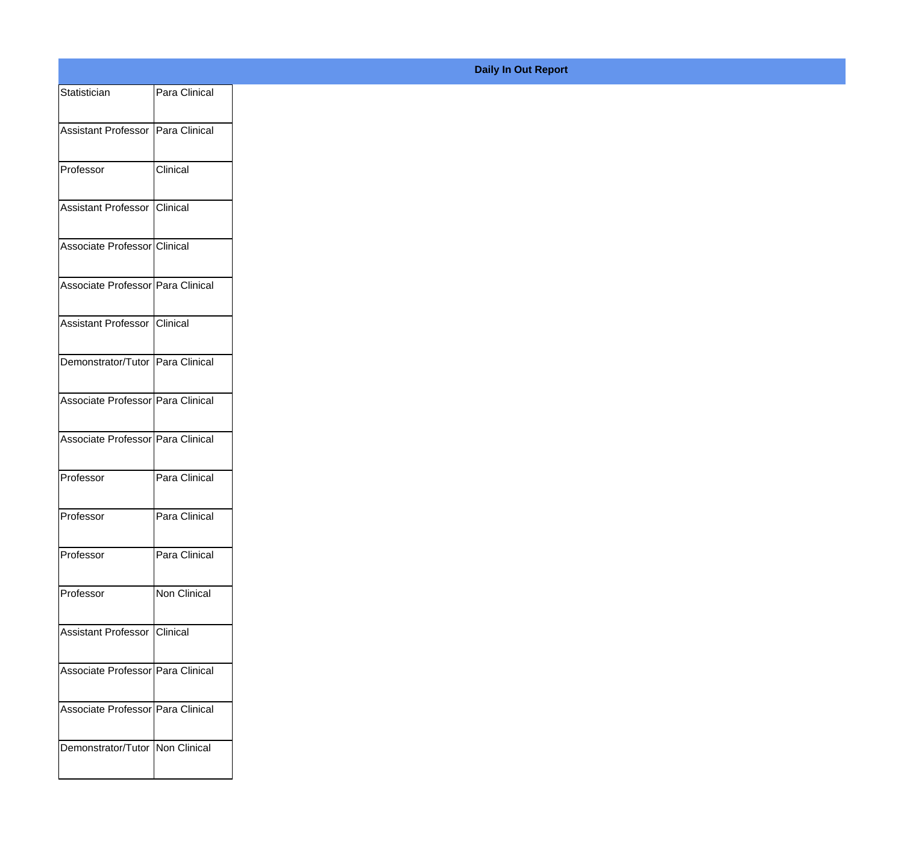| Statistician                        | Para Clinical |
|-------------------------------------|---------------|
| Assistant Professor   Para Clinical |               |
|                                     |               |
| Professor                           | Clinical      |
| Assistant Professor Clinical        |               |
| Associate Professor Clinical        |               |
| Associate Professor Para Clinical   |               |
|                                     |               |
| Assistant Professor Clinical        |               |
| Demonstrator/Tutor Para Clinical    |               |
| Associate Professor Para Clinical   |               |
| Associate Professor Para Clinical   |               |
| Professor                           | Para Clinical |
|                                     |               |
| Professor                           | Para Clinical |
| Professor                           | Para Clinical |
| Professor                           | Non Clinical  |
| Assistant Professor Clinical        |               |
|                                     |               |
| Associate Professor Para Clinical   |               |
| Associate Professor Para Clinical   |               |
| Demonstrator/Tutor Non Clinical     |               |
|                                     |               |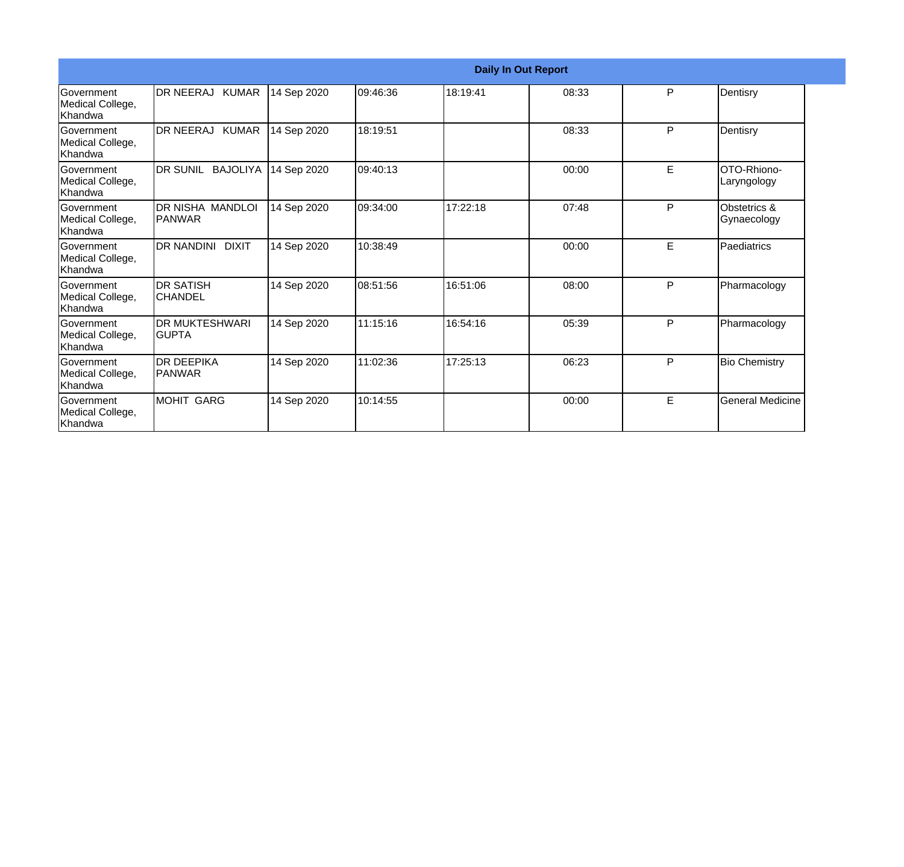|                                                  |                                        |             |          |          | <b>Daily In Out Report</b> |   |                             |
|--------------------------------------------------|----------------------------------------|-------------|----------|----------|----------------------------|---|-----------------------------|
| Government<br>Medical College,<br> Khandwa       | IDR NEERAJ KUMAR                       | 14 Sep 2020 | 09:46:36 | 18:19:41 | 08:33                      | P | Dentisry                    |
| <b>Government</b><br>Medical College,<br>Khandwa | DR NEERAJ KUMAR                        | 14 Sep 2020 | 18:19:51 |          | 08:33                      | P | Dentisry                    |
| <b>Government</b><br>Medical College,<br>Khandwa | <b>DR SUNIL BAJOLIYA</b>               | 14 Sep 2020 | 09:40:13 |          | 00:00                      | E | OTO-Rhiono-<br>Laryngology  |
| Government<br>Medical College,<br>Khandwa        | DR NISHA MANDLOI<br><b>PANWAR</b>      | 14 Sep 2020 | 09:34:00 | 17:22:18 | 07:48                      | P | Obstetrics &<br>Gynaecology |
| <b>Government</b><br>Medical College,<br>Khandwa | DR NANDINI DIXIT                       | 14 Sep 2020 | 10:38:49 |          | 00:00                      | E | Paediatrics                 |
| Government<br>Medical College,<br>Khandwa        | <b>DR SATISH</b><br><b>CHANDEL</b>     | 14 Sep 2020 | 08:51:56 | 16:51:06 | 08:00                      | P | Pharmacology                |
| Government<br>Medical College,<br>Khandwa        | <b>DR MUKTESHWARI</b><br><b>IGUPTA</b> | 14 Sep 2020 | 11:15:16 | 16:54:16 | 05:39                      | P | Pharmacology                |
| Government<br>Medical College,<br>Khandwa        | <b>DR DEEPIKA</b><br><b>IPANWAR</b>    | 14 Sep 2020 | 11:02:36 | 17:25:13 | 06:23                      | P | <b>Bio Chemistry</b>        |
| <b>Government</b><br>Medical College,<br>Khandwa | <b>MOHIT GARG</b>                      | 14 Sep 2020 | 10:14:55 |          | 00:00                      | E | <b>General Medicine</b>     |